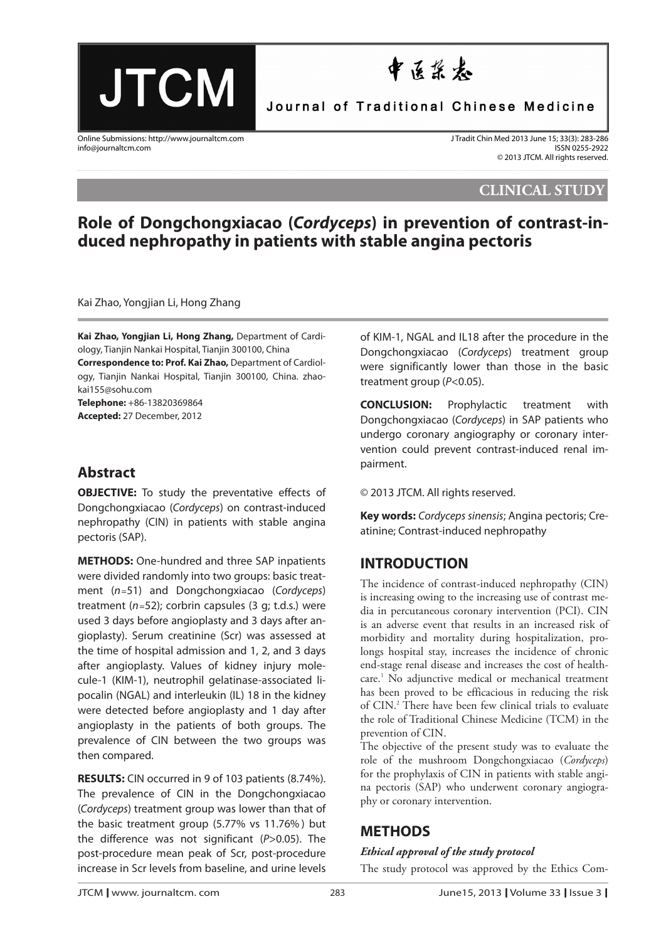**JTCM** 

# 中医浆衣

Journal of Traditional Chinese Medicine

Online Submissions: http://www.journaltcm.com J Tradit Chin Med 2013 June 15; 33(3): 283-286<br>155N 0255-2922 Info@iournaltcm.com SSN 0255-2922 info@journaltcm.com

© 2013 JTCM. All rights reserved.

**CLINICAL STUDY**

## **Role of Dongchongxiacao (Cordyceps) in prevention of contrast-induced nephropathy in patients with stable angina pectoris**

Kai Zhao, Yongjian Li, Hong Zhang aa

**Kai Zhao, Yongjian Li, Hong Zhang,** Department of Cardiology, Tianjin Nankai Hospital, Tianjin 300100, China **Correspondence to: Prof. Kai Zhao,** Department of Cardiology, Tianjin Nankai Hospital, Tianjin 300100, China. zhaokai155@sohu.com **Telephone:** +86-13820369864

**Accepted:** 27 December, 2012

### **Abstract**

**OBJECTIVE:** To study the preventative effects of Dongchongxiacao (Cordyceps) on contrast-induced nephropathy (CIN) in patients with stable angina pectoris (SAP).

**METHODS:** One-hundred and three SAP inpatients were divided randomly into two groups: basic treatment (n*=*51) and Dongchongxiacao (Cordyceps) treatment (n*=*52); corbrin capsules (3 g; t.d.s.) were used 3 days before angioplasty and 3 days after angioplasty). Serum creatinine (Scr) was assessed at the time of hospital admission and 1, 2, and 3 days after angioplasty. Values of kidney injury molecule-1 (KIM-1), neutrophil gelatinase-associated lipocalin (NGAL) and interleukin (IL) 18 in the kidney were detected before angioplasty and 1 day after angioplasty in the patients of both groups. The prevalence of CIN between the two groups was then compared.

**RESULTS:** CIN occurred in 9 of 103 patients (8.74%). The prevalence of CIN in the Dongchongxiacao (Cordyceps) treatment group was lower than that of the basic treatment group (5.77% vs 11.76% ) but the difference was not significant ( $P > 0.05$ ). The post-procedure mean peak of Scr, post-procedure increase in Scr levels from baseline, and urine levels

of KIM-1, NGAL and IL18 after the procedure in the Dongchongxiacao (Cordyceps) treatment group were significantly lower than those in the basic treatment group (P<0.05).

**CONCLUSION:** Prophylactic treatment with Dongchongxiacao (Cordyceps) in SAP patients who undergo coronary angiography or coronary intervention could prevent contrast-induced renal impairment.

© 2013 JTCM. All rights reserved.

**Key words:** Cordyceps sinensis; Angina pectoris; Creatinine; Contrast-induced nephropathy

## **INTRODUCTION**

The incidence of contrast-induced nephropathy (CIN) is increasing owing to the increasing use of contrast media in percutaneous coronary intervention (PCI). CIN is an adverse event that results in an increased risk of morbidity and mortality during hospitalization, prolongs hospital stay, increases the incidence of chronic end-stage renal disease and increases the cost of healthcare.1 No adjunctive medical or mechanical treatment has been proved to be efficacious in reducing the risk of CIN.2 There have been few clinical trials to evaluate the role of Traditional Chinese Medicine (TCM) in the prevention of CIN.

The objective of the present study was to evaluate the role of the mushroom Dongchongxiacao (*Cordyceps*) for the prophylaxis of CIN in patients with stable angina pectoris (SAP) who underwent coronary angiography or coronary intervention.

## **METHODS**

#### *Ethical approval of the study protocol*

The study protocol was approved by the Ethics Com-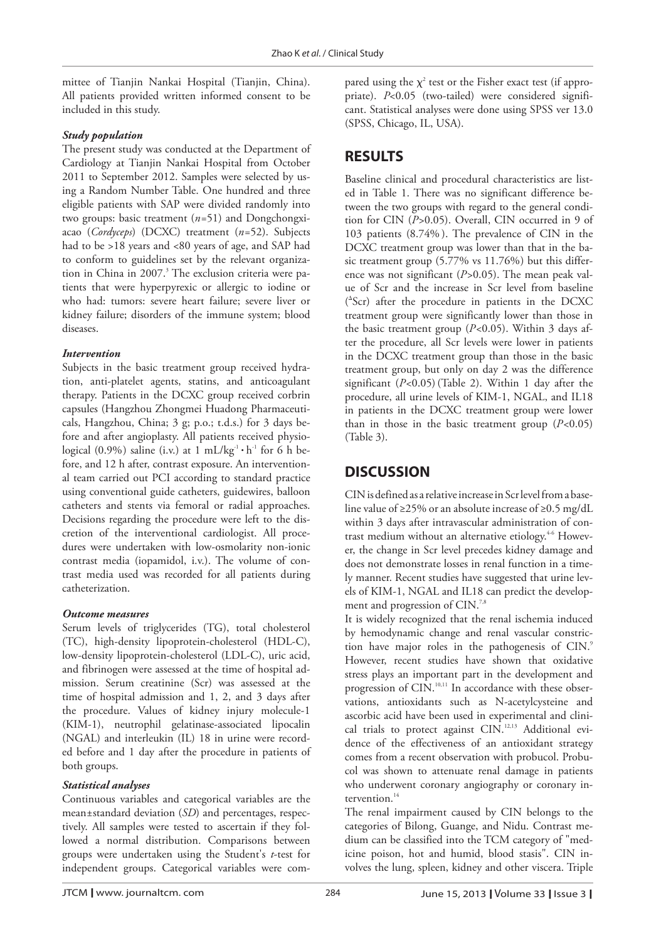mittee of Tianjin Nankai Hospital (Tianjin, China). All patients provided written informed consent to be included in this study.

#### *Study population*

The present study was conducted at the Department of Cardiology at Tianjin Nankai Hospital from October 2011 to September 2012. Samples were selected by using a Random Number Table. One hundred and three eligible patients with SAP were divided randomly into two groups: basic treatment (*n=*51) and Dongchongxiacao (*Cordyceps*) (DCXC) treatment (*n=*52). Subjects had to be >18 years and <80 years of age, and SAP had to conform to guidelines set by the relevant organization in China in 2007. <sup>3</sup> The exclusion criteria were patients that were hyperpyrexic or allergic to iodine or who had: tumors: severe heart failure; severe liver or kidney failure; disorders of the immune system; blood diseases.

#### *Intervention*

Subjects in the basic treatment group received hydration, anti-platelet agents, statins, and anticoagulant therapy. Patients in the DCXC group received corbrin capsules (Hangzhou Zhongmei Huadong Pharmaceuticals, Hangzhou, China; 3 g; p.o.; t.d.s.) for 3 days before and after angioplasty. All patients received physiological (0.9%) saline (i.v.) at  $1 \text{ mL/kg}^{-1} \cdot \text{h}^{-1}$  for 6 h before, and 12 h after, contrast exposure. An interventional team carried out PCI according to standard practice using conventional guide catheters, guidewires, balloon catheters and stents via femoral or radial approaches. Decisions regarding the procedure were left to the discretion of the interventional cardiologist. All procedures were undertaken with low-osmolarity non-ionic contrast media (iopamidol, i.v.). The volume of contrast media used was recorded for all patients during catheterization.

#### *Outcome measures*

Serum levels of triglycerides (TG), total cholesterol (TC), high-density lipoprotein-cholesterol (HDL-C), low-density lipoprotein-cholesterol (LDL-C), uric acid, and fibrinogen were assessed at the time of hospital admission. Serum creatinine (Scr) was assessed at the time of hospital admission and 1, 2, and 3 days after the procedure. Values of kidney injury molecule-1 (KIM-1), neutrophil gelatinase-associated lipocalin (NGAL) and interleukin (IL) 18 in urine were recorded before and 1 day after the procedure in patients of both groups.

#### *Statistical analyses*

Continuous variables and categorical variables are the mean±standard deviation (*SD*) and percentages, respectively. All samples were tested to ascertain if they followed a normal distribution. Comparisons between groups were undertaken using the Student's *t*-test for independent groups. Categorical variables were com-

pared using the  $\chi^2$  test or the Fisher exact test (if appropriate). *P*<0.05 (two-tailed) were considered significant. Statistical analyses were done using SPSS ver 13.0 (SPSS, Chicago, IL, USA).

## **RESULTS**

Baseline clinical and procedural characteristics are listed in Table 1. There was no significant difference between the two groups with regard to the general condition for CIN (*P>*0.05). Overall, CIN occurred in 9 of 103 patients (8.74% ). The prevalence of CIN in the DCXC treatment group was lower than that in the basic treatment group (5.77% vs 11.76%) but this difference was not significant (*P>*0.05). The mean peak value of Scr and the increase in Scr level from baseline ( Δ Scr) after the procedure in patients in the DCXC treatment group were significantly lower than those in the basic treatment group (*P<*0.05). Within 3 days after the procedure, all Scr levels were lower in patients in the DCXC treatment group than those in the basic treatment group, but only on day 2 was the difference significant (*P<*0.05) (Table 2). Within 1 day after the procedure, all urine levels of KIM-1, NGAL, and IL18 in patients in the DCXC treatment group were lower than in those in the basic treatment group (*P<*0.05) (Table 3).

## **DISCUSSION**

CIN is defined as a relative increase in Scr level from a baseline value of  $\geq$ 25% or an absolute increase of  $\geq$ 0.5 mg/dL within 3 days after intravascular administration of contrast medium without an alternative etiology.<sup>4-6</sup> However, the change in Scr level precedes kidney damage and does not demonstrate losses in renal function in a timely manner. Recent studies have suggested that urine levels of KIM-1, NGAL and IL18 can predict the development and progression of CIN.<sup>7,8</sup>

It is widely recognized that the renal ischemia induced by hemodynamic change and renal vascular constriction have major roles in the pathogenesis of CIN.<sup>9</sup> However, recent studies have shown that oxidative stress plays an important part in the development and progression of CIN.<sup>10,11</sup> In accordance with these observations, antioxidants such as N-acetylcysteine and ascorbic acid have been used in experimental and clinical trials to protect against CIN.12,13 Additional evidence of the effectiveness of an antioxidant strategy comes from a recent observation with probucol. Probucol was shown to attenuate renal damage in patients who underwent coronary angiography or coronary intervention.<sup>14</sup>

The renal impairment caused by CIN belongs to the categories of Bilong, Guange, and Nidu. Contrast medium can be classified into the TCM category of "medicine poison, hot and humid, blood stasis". CIN involves the lung, spleen, kidney and other viscera. Triple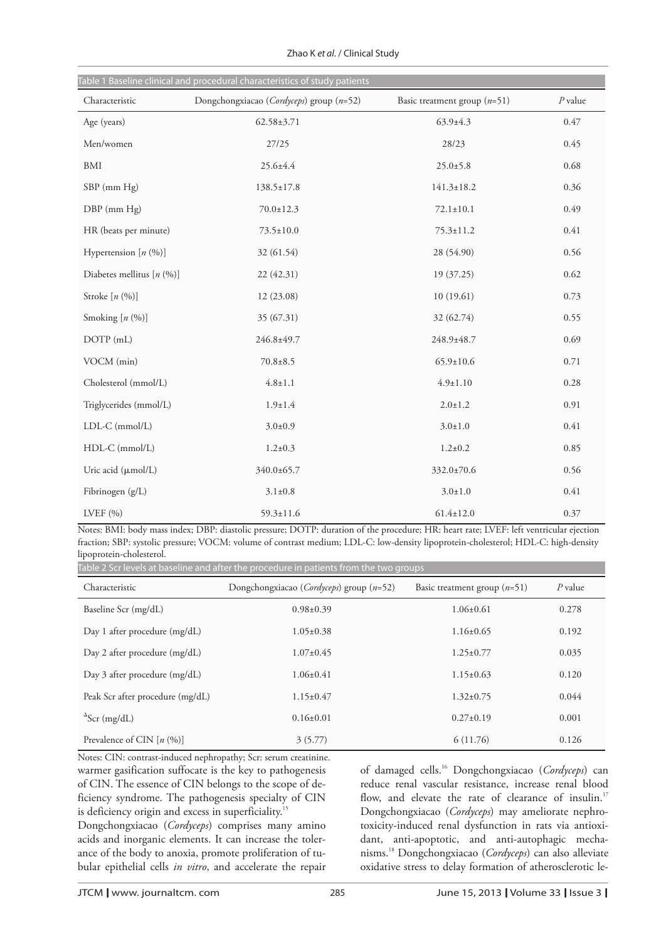|                             | Table 1 Baseline clinical and procedural characteristics of study patients |                                |           |
|-----------------------------|----------------------------------------------------------------------------|--------------------------------|-----------|
| Characteristic              | Dongchongxiacao (Cordyceps) group $(n=52)$                                 | Basic treatment group $(n=51)$ | $P$ value |
| Age (years)                 | $62.58 \pm 3.71$                                                           | $63.9 \pm 4.3$                 | 0.47      |
| Men/women                   | 27/25                                                                      | 28/23                          | 0.45      |
| $\operatorname{BMI}$        | 25.6±4.4                                                                   | $25.0 \pm 5.8$                 | 0.68      |
| SBP (mm Hg)                 | $138.5 \pm 17.8$                                                           | $141.3 \pm 18.2$               | 0.36      |
| DBP (mm Hg)                 | $70.0 \pm 12.3$                                                            | $72.1 \pm 10.1$                | 0.49      |
| HR (beats per minute)       | $73.5 \pm 10.0$                                                            | $75.3 \pm 11.2$                | 0.41      |
| Hypertension $[n (%)]$      | 32 (61.54)                                                                 | 28 (54.90)                     | 0.56      |
| Diabetes mellitus $[n (%)]$ | 22(42.31)                                                                  | 19 (37.25)                     | 0.62      |
| Stroke $[n (%)]$            | 12(23.08)                                                                  | 10(19.61)                      | 0.73      |
| Smoking $[n (%)]$           | 35 (67.31)                                                                 | 32 (62.74)                     | 0.55      |
| DOTP (mL)                   | 246.8±49.7                                                                 | 248.9±48.7                     | 0.69      |
| VOCM (min)                  | $70.8 \pm 8.5$                                                             | $65.9 \pm 10.6$                | 0.71      |
| Cholesterol (mmol/L)        | $4.8 \pm 1.1$                                                              | $4.9 \pm 1.10$                 | 0.28      |
| Triglycerides (mmol/L)      | $1.9 \pm 1.4$                                                              | $2.0 \pm 1.2$                  | 0.91      |
| LDL-C (mmol/L)              | $3.0 \pm 0.9$                                                              | $3.0 \pm 1.0$                  | 0.41      |
| HDL-C (mmol/L)              | $1.2 \pm 0.3$                                                              | $1.2 \pm 0.2$                  | 0.85      |
| Uric acid (µmol/L)          | 340.0±65.7                                                                 | 332.0±70.6                     | 0.56      |
| Fibrinogen (g/L)            | $3.1 \pm 0.8$                                                              | $3.0 \pm 1.0$                  | 0.41      |
| LVEF $(% )$                 | $59.3 \pm 11.6$                                                            | $61.4 \pm 12.0$                | 0.37      |

Zhao K et al. / Clinical Study

Notes: BMI: body mass index; DBP: diastolic pressure; DOTP: duration of the procedure; HR: heart rate; LVEF: left ventricular ejection fraction; SBP: systolic pressure; VOCM: volume of contrast medium; LDL-C: low-density lipoprotein-cholesterol; HDL-C: high-density lipoprotein-cholesterol.

Characteristic Baseline Scr (mg/dL) Day 1 after procedure (mg/dL) Day 2 after procedure (mg/dL) Day 3 after procedure (mg/dL) Peak Scr after procedure (mg/dL)  $^{\Delta}$ Scr (mg/dL) Prevalence of CIN [n (%)] Dongchongxiacao (*Cordyceps*) group (*n*=52) 0.98±0.39 1.05±0.38 1.07±0.45 1.06±0.41 1.15±0.47 0.16±0.01 3 (5.77) Basic treatment group (*n*=51) 1.06±0.61 1.16±0.65 1.25±0.77 1.15±0.63 1.32±0.75  $0.27 \pm 0.19$ 6 (11.76) *P* value 0.278 0.192 0.035 0.120 0.044 0.001 0.126 Table 2 Scr levels at baseline and after the procedure in patients from the two groups

warmer gasification suffocate is the key to pathogenesis of CIN. The essence of CIN belongs to the scope of deficiency syndrome. The pathogenesis specialty of CIN is deficiency origin and excess in superficiality.<sup>15</sup> Notes: CIN: contrast-induced nephropathy; Scr: serum creatinine.

Dongchongxiacao (*Cordyceps*) comprises many amino acids and inorganic elements. It can increase the tolerance of the body to anoxia, promote proliferation of tubular epithelial cells *in vitro*, and accelerate the repair of damaged cells.16 Dongchongxiacao (*Cordyceps*) can reduce renal vascular resistance, increase renal blood flow, and elevate the rate of clearance of insulin.<sup>17</sup> Dongchongxiacao (*Cordyceps*) may ameliorate nephrotoxicity-induced renal dysfunction in rats via antioxidant, anti-apoptotic, and anti-autophagic mechanisms.18 Dongchongxiacao (*Cordyceps*) can also alleviate oxidative stress to delay formation of atherosclerotic le-